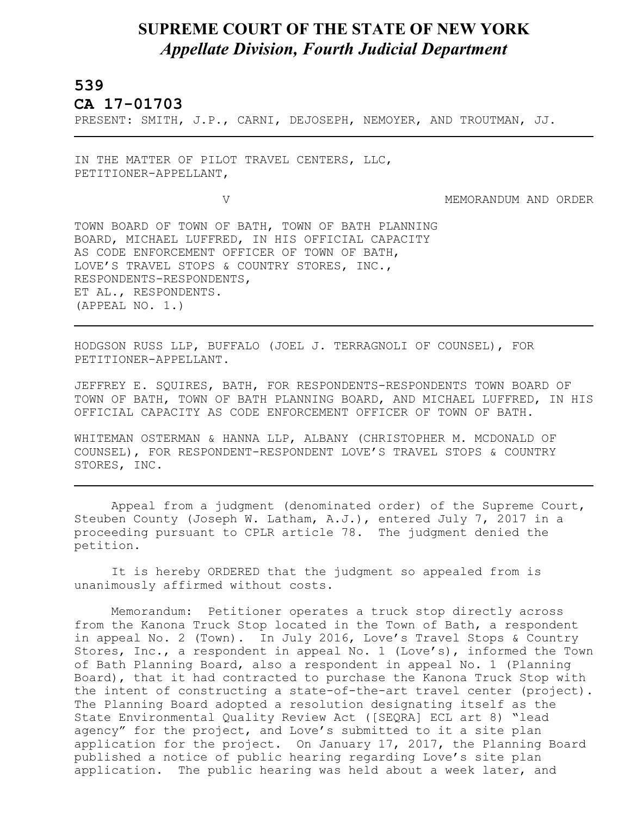## **SUPREME COURT OF THE STATE OF NEW YORK** *Appellate Division, Fourth Judicial Department*

## **539**

L

**CA 17-01703** 

PRESENT: SMITH, J.P., CARNI, DEJOSEPH, NEMOYER, AND TROUTMAN, JJ.

IN THE MATTER OF PILOT TRAVEL CENTERS, LLC, PETITIONER-APPELLANT,

V MEMORANDUM AND ORDER

TOWN BOARD OF TOWN OF BATH, TOWN OF BATH PLANNING BOARD, MICHAEL LUFFRED, IN HIS OFFICIAL CAPACITY AS CODE ENFORCEMENT OFFICER OF TOWN OF BATH, LOVE'S TRAVEL STOPS & COUNTRY STORES, INC., RESPONDENTS-RESPONDENTS, ET AL., RESPONDENTS. (APPEAL NO. 1.)

HODGSON RUSS LLP, BUFFALO (JOEL J. TERRAGNOLI OF COUNSEL), FOR PETITIONER-APPELLANT.

JEFFREY E. SQUIRES, BATH, FOR RESPONDENTS-RESPONDENTS TOWN BOARD OF TOWN OF BATH, TOWN OF BATH PLANNING BOARD, AND MICHAEL LUFFRED, IN HIS OFFICIAL CAPACITY AS CODE ENFORCEMENT OFFICER OF TOWN OF BATH.

WHITEMAN OSTERMAN & HANNA LLP, ALBANY (CHRISTOPHER M. MCDONALD OF COUNSEL), FOR RESPONDENT-RESPONDENT LOVE'S TRAVEL STOPS & COUNTRY STORES, INC.

Appeal from a judgment (denominated order) of the Supreme Court, Steuben County (Joseph W. Latham, A.J.), entered July 7, 2017 in a proceeding pursuant to CPLR article 78. The judgment denied the petition.

It is hereby ORDERED that the judgment so appealed from is unanimously affirmed without costs.

Memorandum: Petitioner operates a truck stop directly across from the Kanona Truck Stop located in the Town of Bath, a respondent in appeal No. 2 (Town). In July 2016, Love's Travel Stops & Country Stores, Inc., a respondent in appeal No. 1 (Love's), informed the Town of Bath Planning Board, also a respondent in appeal No. 1 (Planning Board), that it had contracted to purchase the Kanona Truck Stop with the intent of constructing a state-of-the-art travel center (project). The Planning Board adopted a resolution designating itself as the State Environmental Quality Review Act ([SEQRA] ECL art 8) "lead agency" for the project, and Love's submitted to it a site plan application for the project. On January 17, 2017, the Planning Board published a notice of public hearing regarding Love's site plan application. The public hearing was held about a week later, and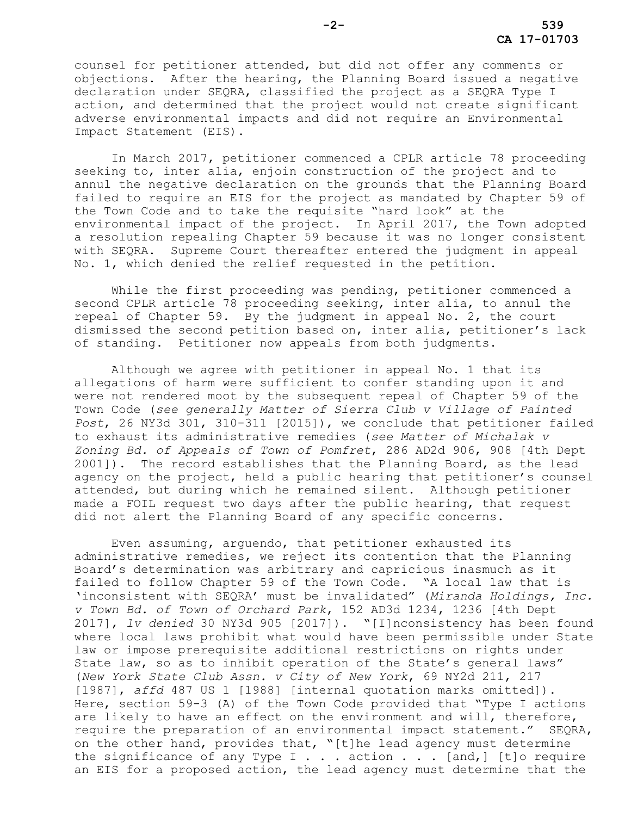counsel for petitioner attended, but did not offer any comments or objections. After the hearing, the Planning Board issued a negative declaration under SEQRA, classified the project as a SEQRA Type I action, and determined that the project would not create significant adverse environmental impacts and did not require an Environmental Impact Statement (EIS).

In March 2017, petitioner commenced a CPLR article 78 proceeding seeking to, inter alia, enjoin construction of the project and to annul the negative declaration on the grounds that the Planning Board failed to require an EIS for the project as mandated by Chapter 59 of the Town Code and to take the requisite "hard look" at the environmental impact of the project. In April 2017, the Town adopted a resolution repealing Chapter 59 because it was no longer consistent with SEQRA. Supreme Court thereafter entered the judgment in appeal No. 1, which denied the relief requested in the petition.

While the first proceeding was pending, petitioner commenced a second CPLR article 78 proceeding seeking, inter alia, to annul the repeal of Chapter 59. By the judgment in appeal No. 2, the court dismissed the second petition based on, inter alia, petitioner's lack of standing. Petitioner now appeals from both judgments.

Although we agree with petitioner in appeal No. 1 that its allegations of harm were sufficient to confer standing upon it and were not rendered moot by the subsequent repeal of Chapter 59 of the Town Code (*see generally Matter of Sierra Club v Village of Painted Post*, 26 NY3d 301, 310-311 [2015]), we conclude that petitioner failed to exhaust its administrative remedies (*see Matter of Michalak v Zoning Bd. of Appeals of Town of Pomfret*, 286 AD2d 906, 908 [4th Dept 2001]). The record establishes that the Planning Board, as the lead agency on the project, held a public hearing that petitioner's counsel attended, but during which he remained silent. Although petitioner made a FOIL request two days after the public hearing, that request did not alert the Planning Board of any specific concerns.

Even assuming, arguendo, that petitioner exhausted its administrative remedies, we reject its contention that the Planning Board's determination was arbitrary and capricious inasmuch as it failed to follow Chapter 59 of the Town Code. "A local law that is 'inconsistent with SEQRA' must be invalidated" (*Miranda Holdings, Inc. v Town Bd. of Town of Orchard Park*, 152 AD3d 1234, 1236 [4th Dept 2017], *lv denied* 30 NY3d 905 [2017]). "[I]nconsistency has been found where local laws prohibit what would have been permissible under State law or impose prerequisite additional restrictions on rights under State law, so as to inhibit operation of the State's general laws" (*New York State Club Assn. v City of New York*, 69 NY2d 211, 217 [1987], *affd* 487 US 1 [1988] [internal quotation marks omitted]). Here, section 59-3 (A) of the Town Code provided that "Type I actions are likely to have an effect on the environment and will, therefore, require the preparation of an environmental impact statement." SEQRA, on the other hand, provides that, "[t]he lead agency must determine the significance of any Type I . . . action . . . [and,] [t]o require an EIS for a proposed action, the lead agency must determine that the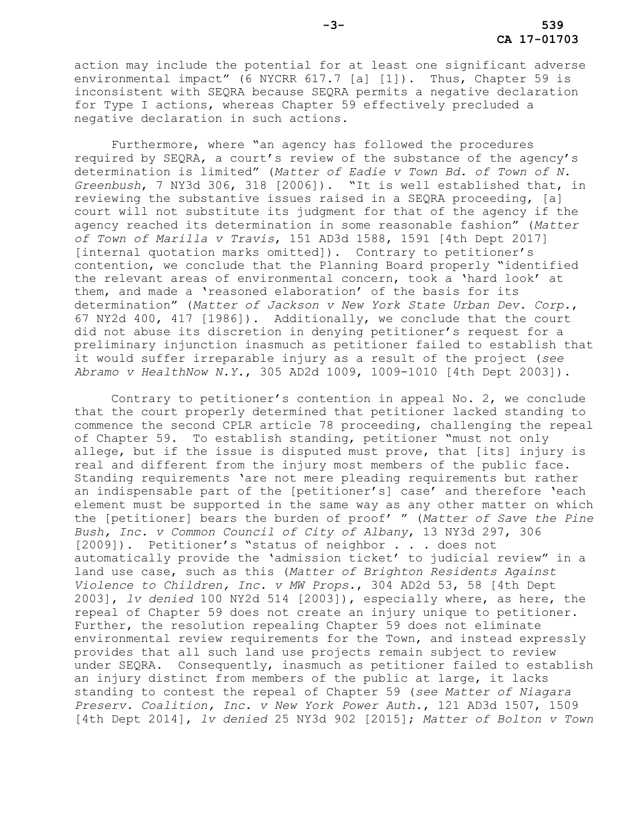action may include the potential for at least one significant adverse environmental impact" (6 NYCRR 617.7 [a] [1]). Thus, Chapter 59 is inconsistent with SEQRA because SEQRA permits a negative declaration for Type I actions, whereas Chapter 59 effectively precluded a negative declaration in such actions.

Furthermore, where "an agency has followed the procedures required by SEQRA, a court's review of the substance of the agency's determination is limited" (*Matter of Eadie v Town Bd. of Town of N. Greenbush*, 7 NY3d 306, 318 [2006]). "It is well established that, in reviewing the substantive issues raised in a SEQRA proceeding, [a] court will not substitute its judgment for that of the agency if the agency reached its determination in some reasonable fashion" (*Matter of Town of Marilla v Travis*, 151 AD3d 1588, 1591 [4th Dept 2017] [internal quotation marks omitted]). Contrary to petitioner's contention, we conclude that the Planning Board properly "identified the relevant areas of environmental concern, took a 'hard look' at them, and made a 'reasoned elaboration' of the basis for its determination" (*Matter of Jackson v New York State Urban Dev. Corp.*, 67 NY2d 400, 417 [1986]). Additionally, we conclude that the court did not abuse its discretion in denying petitioner's request for a preliminary injunction inasmuch as petitioner failed to establish that it would suffer irreparable injury as a result of the project (*see Abramo v HealthNow N.Y.*, 305 AD2d 1009, 1009-1010 [4th Dept 2003]).

Contrary to petitioner's contention in appeal No. 2, we conclude that the court properly determined that petitioner lacked standing to commence the second CPLR article 78 proceeding, challenging the repeal of Chapter 59. To establish standing, petitioner "must not only allege, but if the issue is disputed must prove, that [its] injury is real and different from the injury most members of the public face. Standing requirements 'are not mere pleading requirements but rather an indispensable part of the [petitioner's] case' and therefore 'each element must be supported in the same way as any other matter on which the [petitioner] bears the burden of proof' " (*Matter of Save the Pine Bush, Inc. v Common Council of City of Albany*, 13 NY3d 297, 306 [2009]). Petitioner's "status of neighbor . . . does not automatically provide the 'admission ticket' to judicial review" in a land use case, such as this (*Matter of Brighton Residents Against Violence to Children, Inc. v MW Props.*, 304 AD2d 53, 58 [4th Dept 2003], *lv denied* 100 NY2d 514 [2003]), especially where, as here, the repeal of Chapter 59 does not create an injury unique to petitioner. Further, the resolution repealing Chapter 59 does not eliminate environmental review requirements for the Town, and instead expressly provides that all such land use projects remain subject to review under SEQRA. Consequently, inasmuch as petitioner failed to establish an injury distinct from members of the public at large, it lacks standing to contest the repeal of Chapter 59 (*see Matter of Niagara Preserv. Coalition, Inc. v New York Power Auth*., 121 AD3d 1507, 1509 [4th Dept 2014], *lv denied* 25 NY3d 902 [2015]; *Matter of Bolton v Town*